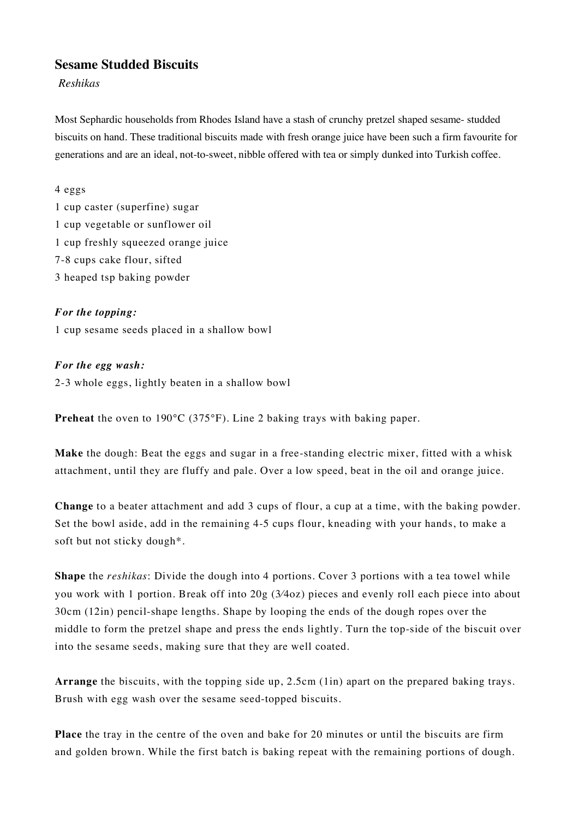# **Sesame Studded Biscuits**

### *Reshikas*

Most Sephardic households from Rhodes Island have a stash of crunchy pretzel shaped sesame- studded biscuits on hand. These traditional biscuits made with fresh orange juice have been such a firm favourite for generations and are an ideal, not-to-sweet, nibble offered with tea or simply dunked into Turkish coffee.

#### 4 eggs

1 cup caster (superfine) sugar 1 cup vegetable or sunflower oil 1 cup freshly squeezed orange juice 7-8 cups cake flour, sifted 3 heaped tsp baking powder

## *For the topping:*

1 cup sesame seeds placed in a shallow bowl

### *For the egg wash:*

2-3 whole eggs, lightly beaten in a shallow bowl

**Preheat** the oven to 190°C (375°F). Line 2 baking trays with baking paper.

**Make** the dough: Beat the eggs and sugar in a free-standing electric mixer, fitted with a whisk attachment, until they are fluffy and pale. Over a low speed, beat in the oil and orange juice.

**Change** to a beater attachment and add 3 cups of flour, a cup at a time, with the baking powder. Set the bowl aside, add in the remaining 4-5 cups flour, kneading with your hands, to make a soft but not sticky dough\*.

**Shape** the *reshikas*: Divide the dough into 4 portions. Cover 3 portions with a tea towel while you work with 1 portion. Break off into 20g (3⁄4oz) pieces and evenly roll each piece into about 30cm (12in) pencil-shape lengths. Shape by looping the ends of the dough ropes over the middle to form the pretzel shape and press the ends lightly. Turn the top-side of the biscuit over into the sesame seeds, making sure that they are well coated.

**Arrange** the biscuits, with the topping side up, 2.5cm (1in) apart on the prepared baking trays. Brush with egg wash over the sesame seed-topped biscuits.

**Place** the tray in the centre of the oven and bake for 20 minutes or until the biscuits are firm and golden brown. While the first batch is baking repeat with the remaining portions of dough.